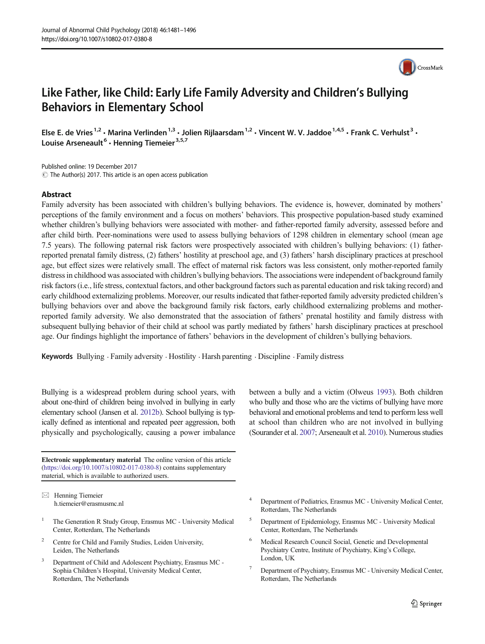

# Like Father, like Child: Early Life Family Adversity and Children's Bullying Behaviors in Elementary School

Else E. de Vries<sup>1,2</sup> • Marina Verlinden<sup>1,3</sup> • Jolien Rijlaarsdam<sup>1,2</sup> • Vincent W. V. Jaddoe<sup>1,4,5</sup> • Frank C. Verhulst<sup>3</sup> • Louise Arseneault<sup>6</sup> · Henning Tiemeier<sup>3,5,7</sup>

Published online: 19 December 2017  $\odot$  The Author(s) 2017. This article is an open access publication

## Abstract

Family adversity has been associated with children's bullying behaviors. The evidence is, however, dominated by mothers' perceptions of the family environment and a focus on mothers' behaviors. This prospective population-based study examined whether children's bullying behaviors were associated with mother- and father-reported family adversity, assessed before and after child birth. Peer-nominations were used to assess bullying behaviors of 1298 children in elementary school (mean age 7.5 years). The following paternal risk factors were prospectively associated with children's bullying behaviors: (1) fatherreported prenatal family distress, (2) fathers' hostility at preschool age, and (3) fathers' harsh disciplinary practices at preschool age, but effect sizes were relatively small. The effect of maternal risk factors was less consistent, only mother-reported family distress in childhood was associated with children's bullying behaviors. The associations were independent of background family risk factors (i.e., life stress, contextual factors, and other background factors such as parental education and risk taking record) and early childhood externalizing problems. Moreover, our results indicated that father-reported family adversity predicted children's bullying behaviors over and above the background family risk factors, early childhood externalizing problems and motherreported family adversity. We also demonstrated that the association of fathers' prenatal hostility and family distress with subsequent bullying behavior of their child at school was partly mediated by fathers' harsh disciplinary practices at preschool age. Our findings highlight the importance of fathers' behaviors in the development of children's bullying behaviors.

Keywords Bullying . Family adversity . Hostility . Harsh parenting . Discipline . Family distress

Bullying is a widespread problem during school years, with about one-third of children being involved in bullying in early elementary school (Jansen et al. [2012b\)](#page-14-0). School bullying is typically defined as intentional and repeated peer aggression, both physically and psychologically, causing a power imbalance

Electronic supplementary material The online version of this article (<https://doi.org/10.1007/s10802-017-0380-8>) contains supplementary material, which is available to authorized users.

- <sup>1</sup> The Generation R Study Group, Erasmus MC University Medical Center, Rotterdam, The Netherlands
- Centre for Child and Family Studies, Leiden University, Leiden, The Netherlands
- <sup>3</sup> Department of Child and Adolescent Psychiatry, Erasmus MC Sophia Children's Hospital, University Medical Center, Rotterdam, The Netherlands

between a bully and a victim (Olweus [1993\)](#page-14-0). Both children who bully and those who are the victims of bullying have more behavioral and emotional problems and tend to perform less well at school than children who are not involved in bullying (Sourander et al. [2007;](#page-15-0) Arseneault et al. [2010\)](#page-13-0). Numerous studies

- <sup>4</sup> Department of Pediatrics, Erasmus MC University Medical Center, Rotterdam, The Netherlands
- <sup>5</sup> Department of Epidemiology, Erasmus MC University Medical Center, Rotterdam, The Netherlands
- <sup>6</sup> Medical Research Council Social, Genetic and Developmental Psychiatry Centre, Institute of Psychiatry, King's College, London, UK
- <sup>7</sup> Department of Psychiatry, Erasmus MC University Medical Center, Rotterdam, The Netherlands

 $\boxtimes$  Henning Tiemeier [h.tiemeier@erasmusmc.nl](mailto:h.tiemeier@erasmusmc.nl)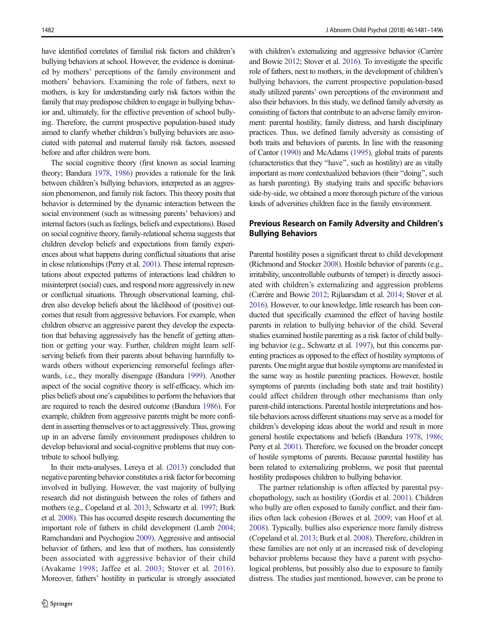have identified correlates of familial risk factors and children's bullying behaviors at school. However, the evidence is dominated by mothers' perceptions of the family environment and mothers' behaviors. Examining the role of fathers, next to mothers, is key for understanding early risk factors within the family that may predispose children to engage in bullying behavior and, ultimately, for the effective prevention of school bullying. Therefore, the current prospective population-based study aimed to clarify whether children's bullying behaviors are associated with paternal and maternal family risk factors, assessed before and after children were born.

The social cognitive theory (first known as social learning theory; Bandura [1978,](#page-13-0) [1986\)](#page-13-0) provides a rationale for the link between children's bullying behaviors, interpreted as an aggression phenomenon, and family risk factors. This theory posits that behavior is determined by the dynamic interaction between the social environment (such as witnessing parents' behaviors) and internal factors (such as feelings, beliefs and expectations). Based on social cognitive theory, family-relational schema suggests that children develop beliefs and expectations from family experiences about what happens during conflictual situations that arise in close relationships (Perry et al. [2001](#page-14-0)). These internal representations about expected patterns of interactions lead children to misinterpret (social) cues, and respond more aggressively in new or conflictual situations. Through observational learning, children also develop beliefs about the likelihood of (positive) outcomes that result from aggressive behaviors. For example, when children observe an aggressive parent they develop the expectation that behaving aggressively has the benefit of getting attention or getting your way. Further, children might learn selfserving beliefs from their parents about behaving harmfully towards others without experiencing remorseful feelings afterwards, i.e., they morally disengage (Bandura [1999\)](#page-13-0). Another aspect of the social cognitive theory is self-efficacy, which implies beliefs about one's capabilities to perform the behaviors that are required to reach the desired outcome (Bandura [1986\)](#page-13-0). For example, children from aggressive parents might be more confident in asserting themselves or to act aggressively. Thus, growing up in an adverse family environment predisposes children to develop behavioral and social-cognitive problems that may contribute to school bullying.

In their meta-analyses, Lereya et al. ([2013](#page-14-0)) concluded that negative parenting behavior constitutes a risk factor for becoming involved in bullying. However, the vast majority of bullying research did not distinguish between the roles of fathers and mothers (e.g., Copeland et al. [2013;](#page-13-0) Schwartz et al. [1997;](#page-15-0) Burk et al. [2008\)](#page-13-0). This has occurred despite research documenting the important role of fathers in child development (Lamb [2004](#page-14-0); Ramchandani and Psychogiou [2009\)](#page-14-0). Aggressive and antisocial behavior of fathers, and less that of mothers, has consistently been associated with aggressive behavior of their child (Avakame [1998](#page-13-0); Jaffee et al. [2003](#page-14-0); Stover et al. [2016](#page-15-0)). Moreover, fathers' hostility in particular is strongly associated

with children's externalizing and aggressive behavior (Carrère and Bowie [2012](#page-13-0); Stover et al. [2016](#page-15-0)). To investigate the specific role of fathers, next to mothers, in the development of children's bullying behaviors, the current prospective population-based study utilized parents' own perceptions of the environment and also their behaviors. In this study, we defined family adversity as consisting of factors that contribute to an adverse family environment: parental hostility, family distress, and harsh disciplinary practices. Thus, we defined family adversity as consisting of both traits and behaviors of parents. In line with the reasoning of Cantor ([1990](#page-13-0)) and McAdams ([1995](#page-14-0)), global traits of parents (characteristics that they "have", such as hostility) are as vitally important as more contextualized behaviors (their "doing", such as harsh parenting). By studying traits and specific behaviors side-by-side, we obtained a more thorough picture of the various kinds of adversities children face in the family environment.

## Previous Research on Family Adversity and Children's Bullying Behaviors

Parental hostility poses a significant threat to child development (Richmond and Stocker [2008\)](#page-14-0). Hostile behavior of parents (e.g., irritability, uncontrollable outbursts of temper) is directly associated with children's externalizing and aggression problems (Carrère and Bowie [2012;](#page-13-0) Rijlaarsdam et al. [2014;](#page-14-0) Stover et al. [2016\)](#page-15-0). However, to our knowledge, little research has been conducted that specifically examined the effect of having hostile parents in relation to bullying behavior of the child. Several studies examined hostile parenting as a risk factor of child bullying behavior (e.g., Schwartz et al. [1997\)](#page-15-0), but this concerns parenting practices as opposed to the effect of hostility symptoms of parents. One might argue that hostile symptoms are manifested in the same way as hostile parenting practices. However, hostile symptoms of parents (including both state and trait hostility) could affect children through other mechanisms than only parent-child interactions. Parental hostile interpretations and hostile behaviors across different situations may serve as a model for children's developing ideas about the world and result in more general hostile expectations and beliefs (Bandura [1978,](#page-13-0) [1986;](#page-13-0) Perry et al. [2001\)](#page-14-0). Therefore, we focused on the broader concept of hostile symptoms of parents. Because parental hostility has been related to externalizing problems, we posit that parental hostility predisposes children to bullying behavior.

The partner relationship is often affected by parental psychopathology, such as hostility (Gordis et al. [2001](#page-14-0)). Children who bully are often exposed to family conflict, and their families often lack cohesion (Bowes et al. [2009](#page-13-0); van Hoof et al. [2008\)](#page-15-0). Typically, bullies also experience more family distress (Copeland et al. [2013](#page-13-0); Burk et al. [2008\)](#page-13-0). Therefore, children in these families are not only at an increased risk of developing behavior problems because they have a parent with psychological problems, but possibly also due to exposure to family distress. The studies just mentioned, however, can be prone to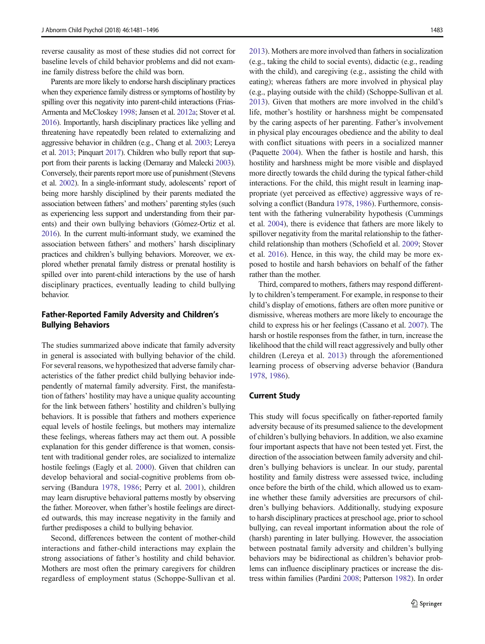reverse causality as most of these studies did not correct for baseline levels of child behavior problems and did not examine family distress before the child was born.

Parents are more likely to endorse harsh disciplinary practices when they experience family distress or symptoms of hostility by spilling over this negativity into parent-child interactions (Frias-Armenta and McCloskey [1998;](#page-14-0) Jansen et al. [2012a](#page-14-0); Stover et al. [2016\)](#page-15-0). Importantly, harsh disciplinary practices like yelling and threatening have repeatedly been related to externalizing and aggressive behavior in children (e.g., Chang et al. [2003](#page-13-0); Lereya et al. [2013;](#page-14-0) Pinquart [2017](#page-14-0)). Children who bully report that support from their parents is lacking (Demaray and Malecki [2003\)](#page-13-0). Conversely, their parents report more use of punishment (Stevens et al. [2002\)](#page-15-0). In a single-informant study, adolescents' report of being more harshly disciplined by their parents mediated the association between fathers' and mothers' parenting styles (such as experiencing less support and understanding from their parents) and their own bullying behaviors (Gómez-Ortiz et al. [2016\)](#page-14-0). In the current multi-informant study, we examined the association between fathers' and mothers' harsh disciplinary practices and children's bullying behaviors. Moreover, we explored whether prenatal family distress or prenatal hostility is spilled over into parent-child interactions by the use of harsh disciplinary practices, eventually leading to child bullying behavior.

# Father-Reported Family Adversity and Children's Bullying Behaviors

The studies summarized above indicate that family adversity in general is associated with bullying behavior of the child. For several reasons, we hypothesized that adverse family characteristics of the father predict child bullying behavior independently of maternal family adversity. First, the manifestation of fathers' hostility may have a unique quality accounting for the link between fathers' hostility and children's bullying behaviors. It is possible that fathers and mothers experience equal levels of hostile feelings, but mothers may internalize these feelings, whereas fathers may act them out. A possible explanation for this gender difference is that women, consistent with traditional gender roles, are socialized to internalize hostile feelings (Eagly et al. [2000](#page-14-0)). Given that children can develop behavioral and social-cognitive problems from observing (Bandura [1978,](#page-13-0) [1986](#page-13-0); Perry et al. [2001](#page-14-0)), children may learn disruptive behavioral patterns mostly by observing the father. Moreover, when father's hostile feelings are directed outwards, this may increase negativity in the family and further predisposes a child to bullying behavior.

Second, differences between the content of mother-child interactions and father-child interactions may explain the strong associations of father's hostility and child behavior. Mothers are most often the primary caregivers for children regardless of employment status (Schoppe-Sullivan et al.

[2013\)](#page-14-0). Mothers are more involved than fathers in socialization (e.g., taking the child to social events), didactic (e.g., reading with the child), and caregiving (e.g., assisting the child with eating); whereas fathers are more involved in physical play (e.g., playing outside with the child) (Schoppe-Sullivan et al. [2013\)](#page-14-0). Given that mothers are more involved in the child's life, mother's hostility or harshness might be compensated by the caring aspects of her parenting. Father's involvement in physical play encourages obedience and the ability to deal with conflict situations with peers in a socialized manner (Paquette [2004](#page-14-0)). When the father is hostile and harsh, this hostility and harshness might be more visible and displayed more directly towards the child during the typical father-child interactions. For the child, this might result in learning inappropriate (yet perceived as effective) aggressive ways of resolving a conflict (Bandura [1978](#page-13-0), [1986](#page-13-0)). Furthermore, consistent with the fathering vulnerability hypothesis (Cummings et al. [2004](#page-13-0)), there is evidence that fathers are more likely to spillover negativity from the marital relationship to the fatherchild relationship than mothers (Schofield et al. [2009;](#page-14-0) Stover et al. [2016\)](#page-15-0). Hence, in this way, the child may be more exposed to hostile and harsh behaviors on behalf of the father rather than the mother.

Third, compared to mothers, fathers may respond differently to children's temperament. For example, in response to their child's display of emotions, fathers are often more punitive or dismissive, whereas mothers are more likely to encourage the child to express his or her feelings (Cassano et al. [2007\)](#page-13-0). The harsh or hostile responses from the father, in turn, increase the likelihood that the child will react aggressively and bully other children (Lereya et al. [2013\)](#page-14-0) through the aforementioned learning process of observing adverse behavior (Bandura [1978,](#page-13-0) [1986](#page-13-0)).

## Current Study

This study will focus specifically on father-reported family adversity because of its presumed salience to the development of children's bullying behaviors. In addition, we also examine four important aspects that have not been tested yet. First, the direction of the association between family adversity and children's bullying behaviors is unclear. In our study, parental hostility and family distress were assessed twice, including once before the birth of the child, which allowed us to examine whether these family adversities are precursors of children's bullying behaviors. Additionally, studying exposure to harsh disciplinary practices at preschool age, prior to school bullying, can reveal important information about the role of (harsh) parenting in later bullying. However, the association between postnatal family adversity and children's bullying behaviors may be bidirectional as children's behavior problems can influence disciplinary practices or increase the distress within families (Pardini [2008;](#page-14-0) Patterson [1982\)](#page-14-0). In order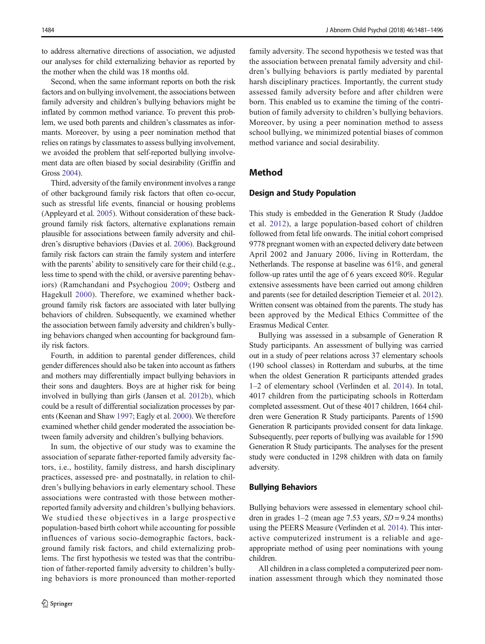to address alternative directions of association, we adjusted our analyses for child externalizing behavior as reported by the mother when the child was 18 months old.

Second, when the same informant reports on both the risk factors and on bullying involvement, the associations between family adversity and children's bullying behaviors might be inflated by common method variance. To prevent this problem, we used both parents and children's classmates as informants. Moreover, by using a peer nomination method that relies on ratings by classmates to assess bullying involvement, we avoided the problem that self-reported bullying involvement data are often biased by social desirability (Griffin and Gross [2004\)](#page-14-0).

Third, adversity of the family environment involves a range of other background family risk factors that often co-occur, such as stressful life events, financial or housing problems (Appleyard et al. [2005](#page-13-0)). Without consideration of these background family risk factors, alternative explanations remain plausible for associations between family adversity and children's disruptive behaviors (Davies et al. [2006](#page-13-0)). Background family risk factors can strain the family system and interfere with the parents' ability to sensitively care for their child (e.g., less time to spend with the child, or aversive parenting behaviors) (Ramchandani and Psychogiou [2009;](#page-14-0) Ostberg and Hagekull [2000](#page-14-0)). Therefore, we examined whether background family risk factors are associated with later bullying behaviors of children. Subsequently, we examined whether the association between family adversity and children's bullying behaviors changed when accounting for background family risk factors.

Fourth, in addition to parental gender differences, child gender differences should also be taken into account as fathers and mothers may differentially impact bullying behaviors in their sons and daughters. Boys are at higher risk for being involved in bullying than girls (Jansen et al. [2012b](#page-14-0)), which could be a result of differential socialization processes by parents (Keenan and Shaw [1997;](#page-14-0) Eagly et al. [2000](#page-14-0)). We therefore examined whether child gender moderated the association between family adversity and children's bullying behaviors.

In sum, the objective of our study was to examine the association of separate father-reported family adversity factors, i.e., hostility, family distress, and harsh disciplinary practices, assessed pre- and postnatally, in relation to children's bullying behaviors in early elementary school. These associations were contrasted with those between motherreported family adversity and children's bullying behaviors. We studied these objectives in a large prospective population-based birth cohort while accounting for possible influences of various socio-demographic factors, background family risk factors, and child externalizing problems. The first hypothesis we tested was that the contribution of father-reported family adversity to children's bullying behaviors is more pronounced than mother-reported family adversity. The second hypothesis we tested was that the association between prenatal family adversity and children's bullying behaviors is partly mediated by parental harsh disciplinary practices. Importantly, the current study assessed family adversity before and after children were born. This enabled us to examine the timing of the contribution of family adversity to children's bullying behaviors. Moreover, by using a peer nomination method to assess school bullying, we minimized potential biases of common method variance and social desirability.

# Method

#### Design and Study Population

This study is embedded in the Generation R Study (Jaddoe et al. [2012\)](#page-14-0), a large population-based cohort of children followed from fetal life onwards. The initial cohort comprised 9778 pregnant women with an expected delivery date between April 2002 and January 2006, living in Rotterdam, the Netherlands. The response at baseline was 61%, and general follow-up rates until the age of 6 years exceed 80%. Regular extensive assessments have been carried out among children and parents (see for detailed description Tiemeier et al. [2012\)](#page-15-0). Written consent was obtained from the parents. The study has been approved by the Medical Ethics Committee of the Erasmus Medical Center.

Bullying was assessed in a subsample of Generation R Study participants. An assessment of bullying was carried out in a study of peer relations across 37 elementary schools (190 school classes) in Rotterdam and suburbs, at the time when the oldest Generation R participants attended grades 1–2 of elementary school (Verlinden et al. [2014\)](#page-15-0). In total, 4017 children from the participating schools in Rotterdam completed assessment. Out of these 4017 children, 1664 children were Generation R Study participants. Parents of 1590 Generation R participants provided consent for data linkage. Subsequently, peer reports of bullying was available for 1590 Generation R Study participants. The analyses for the present study were conducted in 1298 children with data on family adversity.

#### Bullying Behaviors

Bullying behaviors were assessed in elementary school children in grades  $1-2$  (mean age 7.53 years,  $SD = 9.24$  months) using the PEERS Measure (Verlinden et al. [2014\)](#page-15-0). This interactive computerized instrument is a reliable and ageappropriate method of using peer nominations with young children.

All children in a class completed a computerized peer nomination assessment through which they nominated those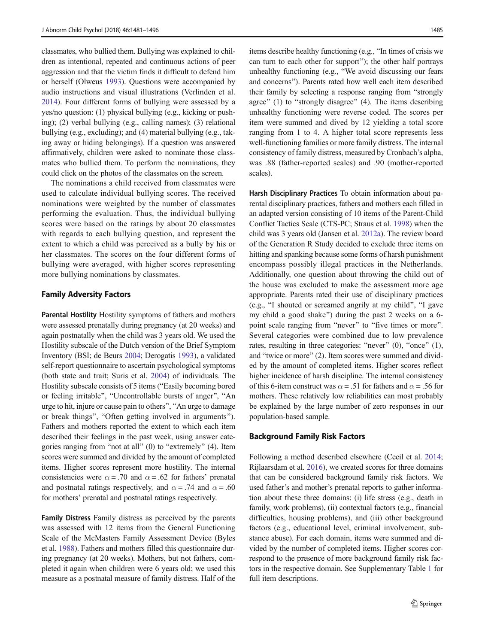classmates, who bullied them. Bullying was explained to children as intentional, repeated and continuous actions of peer aggression and that the victim finds it difficult to defend him or herself (Olweus [1993](#page-14-0)). Questions were accompanied by audio instructions and visual illustrations (Verlinden et al. [2014\)](#page-15-0). Four different forms of bullying were assessed by a yes/no question: (1) physical bullying (e.g., kicking or pushing); (2) verbal bullying (e.g., calling names); (3) relational bullying (e.g., excluding); and (4) material bullying (e.g., taking away or hiding belongings). If a question was answered affirmatively, children were asked to nominate those classmates who bullied them. To perform the nominations, they could click on the photos of the classmates on the screen.

The nominations a child received from classmates were used to calculate individual bullying scores. The received nominations were weighted by the number of classmates performing the evaluation. Thus, the individual bullying scores were based on the ratings by about 20 classmates with regards to each bullying question, and represent the extent to which a child was perceived as a bully by his or her classmates. The scores on the four different forms of bullying were averaged, with higher scores representing more bullying nominations by classmates.

#### Family Adversity Factors

Parental Hostility Hostility symptoms of fathers and mothers were assessed prenatally during pregnancy (at 20 weeks) and again postnatally when the child was 3 years old. We used the Hostility subscale of the Dutch version of the Brief Symptom Inventory (BSI; de Beurs [2004;](#page-13-0) Derogatis [1993](#page-14-0)), a validated self-report questionnaire to ascertain psychological symptoms (both state and trait; Suris et al. [2004](#page-15-0)) of individuals. The Hostility subscale consists of 5 items ("Easily becoming bored" or feeling irritable", "Uncontrollable bursts of anger", "An urge to hit, injure or cause pain to others", "An urge to damage or break things", "Often getting involved in arguments"). Fathers and mothers reported the extent to which each item described their feelings in the past week, using answer categories ranging from "not at all"  $(0)$  to "extremely"  $(4)$ . Item scores were summed and divided by the amount of completed items. Higher scores represent more hostility. The internal consistencies were  $\alpha = .70$  and  $\alpha = .62$  for fathers' prenatal and postnatal ratings respectively, and  $\alpha = .74$  and  $\alpha = .60$ for mothers' prenatal and postnatal ratings respectively.

Family Distress Family distress as perceived by the parents was assessed with 12 items from the General Functioning Scale of the McMasters Family Assessment Device (Byles et al. [1988\)](#page-13-0). Fathers and mothers filled this questionnaire during pregnancy (at 20 weeks). Mothers, but not fathers, completed it again when children were 6 years old; we used this measure as a postnatal measure of family distress. Half of the items describe healthy functioning (e.g., "In times of crisis we can turn to each other for support^); the other half portrays unhealthy functioning (e.g., "We avoid discussing our fears and concerns^). Parents rated how well each item described their family by selecting a response ranging from "strongly agree"  $(1)$  to "strongly disagree"  $(4)$ . The items describing unhealthy functioning were reverse coded. The scores per item were summed and dived by 12 yielding a total score ranging from 1 to 4. A higher total score represents less well-functioning families or more family distress. The internal consistency of family distress, measured by Cronbach's alpha, was .88 (father-reported scales) and .90 (mother-reported scales).

Harsh Disciplinary Practices To obtain information about parental disciplinary practices, fathers and mothers each filled in an adapted version consisting of 10 items of the Parent-Child Conflict Tactics Scale (CTS-PC; Straus et al. [1998\)](#page-15-0) when the child was 3 years old (Jansen et al. [2012a\)](#page-14-0). The review board of the Generation R Study decided to exclude three items on hitting and spanking because some forms of harsh punishment encompass possibly illegal practices in the Netherlands. Additionally, one question about throwing the child out of the house was excluded to make the assessment more age appropriate. Parents rated their use of disciplinary practices (e.g., "I shouted or screamed angrily at my child", "I gave my child a good shake") during the past 2 weeks on a 6point scale ranging from "never" to "five times or more". Several categories were combined due to low prevalence rates, resulting in three categories: "never"  $(0)$ , "once"  $(1)$ , and "twice or more" (2). Item scores were summed and divided by the amount of completed items. Higher scores reflect higher incidence of harsh discipline. The internal consistency of this 6-item construct was  $\alpha$  = .51 for fathers and  $\alpha$  = .56 for mothers. These relatively low reliabilities can most probably be explained by the large number of zero responses in our population-based sample.

#### Background Family Risk Factors

Following a method described elsewhere (Cecil et al. [2014;](#page-13-0) Rijlaarsdam et al. [2016](#page-14-0)), we created scores for three domains that can be considered background family risk factors. We used father's and mother's prenatal reports to gather information about these three domains: (i) life stress (e.g., death in family, work problems), (ii) contextual factors (e.g., financial difficulties, housing problems), and (iii) other background factors (e.g., educational level, criminal involvement, substance abuse). For each domain, items were summed and divided by the number of completed items. Higher scores correspond to the presence of more background family risk factors in the respective domain. See Supplementary Table 1 for full item descriptions.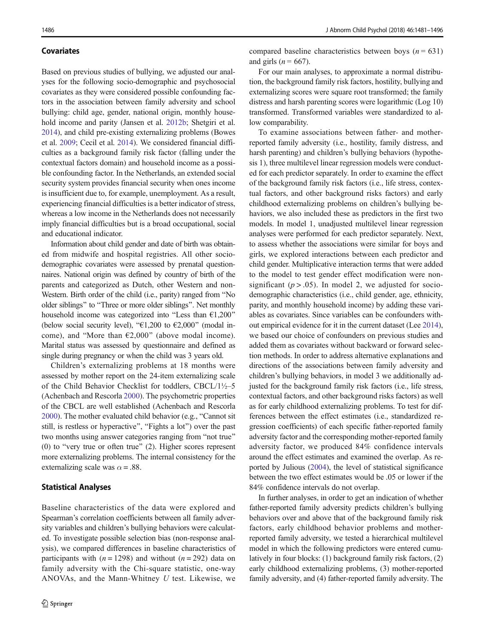#### **Covariates**

Based on previous studies of bullying, we adjusted our analyses for the following socio-demographic and psychosocial covariates as they were considered possible confounding factors in the association between family adversity and school bullying: child age, gender, national origin, monthly household income and parity (Jansen et al. [2012b;](#page-14-0) Shetgiri et al. [2014\)](#page-15-0), and child pre-existing externalizing problems (Bowes et al. [2009;](#page-13-0) Cecil et al. [2014\)](#page-13-0). We considered financial difficulties as a background family risk factor (falling under the contextual factors domain) and household income as a possible confounding factor. In the Netherlands, an extended social security system provides financial security when ones income is insufficient due to, for example, unemployment. As a result, experiencing financial difficulties is a better indicator of stress, whereas a low income in the Netherlands does not necessarily imply financial difficulties but is a broad occupational, social and educational indicator.

Information about child gender and date of birth was obtained from midwife and hospital registries. All other sociodemographic covariates were assessed by prenatal questionnaires. National origin was defined by country of birth of the parents and categorized as Dutch, other Western and non-Western. Birth order of the child (i.e., parity) ranged from "No older siblings" to "Three or more older siblings". Net monthly household income was categorized into "Less than  $E1,200$ " (below social security level), " $\epsilon$ 1,200 to  $\epsilon$ 2,000" (modal income), and "More than  $E2,000$ " (above modal income). Marital status was assessed by questionnaire and defined as single during pregnancy or when the child was 3 years old.

Children's externalizing problems at 18 months were assessed by mother report on the 24-item externalizing scale of the Child Behavior Checklist for toddlers, CBCL/1½–5 (Achenbach and Rescorla [2000\)](#page-13-0). The psychometric properties of the CBCL are well established (Achenbach and Rescorla [2000\)](#page-13-0). The mother evaluated child behavior (e.g., "Cannot sit still, is restless or hyperactive", "Fights a lot") over the past two months using answer categories ranging from "not true" (0) to "very true or often true" (2). Higher scores represent more externalizing problems. The internal consistency for the externalizing scale was  $\alpha = .88$ .

#### Statistical Analyses

Baseline characteristics of the data were explored and Spearman's correlation coefficients between all family adversity variables and children's bullying behaviors were calculated. To investigate possible selection bias (non-response analysis), we compared differences in baseline characteristics of participants with  $(n = 1298)$  and without  $(n = 292)$  data on family adversity with the Chi-square statistic, one-way ANOVAs, and the Mann-Whitney U test. Likewise, we

compared baseline characteristics between boys ( $n = 631$ ) and girls ( $n = 667$ ).

For our main analyses, to approximate a normal distribution, the background family risk factors, hostility, bullying and externalizing scores were square root transformed; the family distress and harsh parenting scores were logarithmic (Log 10) transformed. Transformed variables were standardized to allow comparability.

To examine associations between father- and motherreported family adversity (i.e., hostility, family distress, and harsh parenting) and children's bullying behaviors (hypothesis 1), three multilevel linear regression models were conducted for each predictor separately. In order to examine the effect of the background family risk factors (i.e., life stress, contextual factors, and other background risks factors) and early childhood externalizing problems on children's bullying behaviors, we also included these as predictors in the first two models. In model 1, unadjusted multilevel linear regression analyses were performed for each predictor separately. Next, to assess whether the associations were similar for boys and girls, we explored interactions between each predictor and child gender. Multiplicative interaction terms that were added to the model to test gender effect modification were nonsignificant ( $p > .05$ ). In model 2, we adjusted for sociodemographic characteristics (i.e., child gender, age, ethnicity, parity, and monthly household income) by adding these variables as covariates. Since variables can be confounders without empirical evidence for it in the current dataset (Lee [2014\)](#page-14-0), we based our choice of confounders on previous studies and added them as covariates without backward or forward selection methods. In order to address alternative explanations and directions of the associations between family adversity and children's bullying behaviors, in model 3 we additionally adjusted for the background family risk factors (i.e., life stress, contextual factors, and other background risks factors) as well as for early childhood externalizing problems. To test for differences between the effect estimates (i.e., standardized regression coefficients) of each specific father-reported family adversity factor and the corresponding mother-reported family adversity factor, we produced 84% confidence intervals around the effect estimates and examined the overlap. As reported by Julious [\(2004\)](#page-14-0), the level of statistical significance between the two effect estimates would be .05 or lower if the 84% confidence intervals do not overlap.

In further analyses, in order to get an indication of whether father-reported family adversity predicts children's bullying behaviors over and above that of the background family risk factors, early childhood behavior problems and motherreported family adversity, we tested a hierarchical multilevel model in which the following predictors were entered cumulatively in four blocks: (1) background family risk factors, (2) early childhood externalizing problems, (3) mother-reported family adversity, and (4) father-reported family adversity. The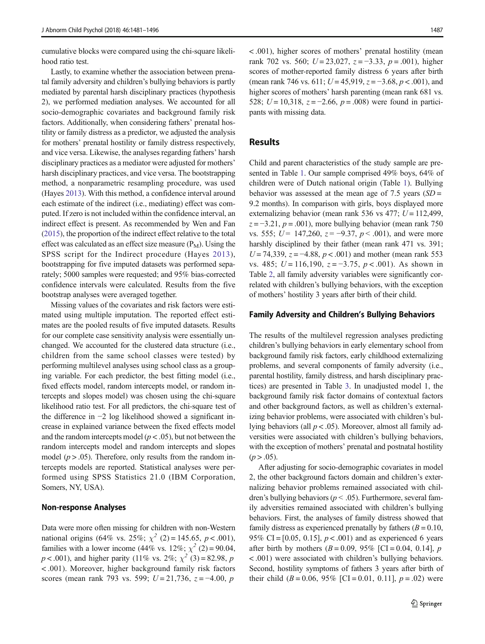cumulative blocks were compared using the chi-square likelihood ratio test.

Lastly, to examine whether the association between prenatal family adversity and children's bullying behaviors is partly mediated by parental harsh disciplinary practices (hypothesis 2), we performed mediation analyses. We accounted for all socio-demographic covariates and background family risk factors. Additionally, when considering fathers' prenatal hostility or family distress as a predictor, we adjusted the analysis for mothers' prenatal hostility or family distress respectively, and vice versa. Likewise, the analyses regarding fathers' harsh disciplinary practices as a mediator were adjusted for mothers' harsh disciplinary practices, and vice versa. The bootstrapping method, a nonparametric resampling procedure, was used (Hayes [2013](#page-14-0)). With this method, a confidence interval around each estimate of the indirect (i.e., mediating) effect was computed. If zero is not included within the confidence interval, an indirect effect is present. As recommended by Wen and Fan [\(2015\)](#page-15-0), the proportion of the indirect effect relative to the total effect was calculated as an effect size measure  $(P_M)$ . Using the SPSS script for the Indirect procedure (Hayes [2013](#page-14-0)), bootstrapping for five imputed datasets was performed separately; 5000 samples were requested; and 95% bias-corrected confidence intervals were calculated. Results from the five bootstrap analyses were averaged together.

Missing values of the covariates and risk factors were estimated using multiple imputation. The reported effect estimates are the pooled results of five imputed datasets. Results for our complete case sensitivity analysis were essentially unchanged. We accounted for the clustered data structure (i.e., children from the same school classes were tested) by performing multilevel analyses using school class as a grouping variable. For each predictor, the best fitting model (i.e., fixed effects model, random intercepts model, or random intercepts and slopes model) was chosen using the chi-square likelihood ratio test. For all predictors, the chi-square test of the difference in −2 log likelihood showed a significant increase in explained variance between the fixed effects model and the random intercepts model ( $p < .05$ ), but not between the random intercepts model and random intercepts and slopes model ( $p > .05$ ). Therefore, only results from the random intercepts models are reported. Statistical analyses were performed using SPSS Statistics 21.0 (IBM Corporation, Somers, NY, USA).

#### Non-response Analyses

Data were more often missing for children with non-Western national origins (64% vs. 25%;  $\chi^2$  (2) = 145.65, p < .001), families with a lower income (44% vs. 12%;  $\chi^2$  (2) = 90.04,  $p < .001$ ), and higher parity (11% vs. 2%;  $\chi^2$  (3) = 82.98, p < .001). Moreover, higher background family risk factors scores (mean rank 793 vs. 599;  $U = 21,736$ ,  $z = -4.00$ , p

< .001), higher scores of mothers' prenatal hostility (mean rank 702 vs. 560;  $U = 23,027$ ,  $z = -3.33$ ,  $p = .001$ ), higher scores of mother-reported family distress 6 years after birth (mean rank 746 vs. 611;  $U = 45,919$ ,  $z = -3.68$ ,  $p < .001$ ), and higher scores of mothers' harsh parenting (mean rank 681 vs. 528;  $U = 10,318$ ,  $z = -2.66$ ,  $p = .008$ ) were found in participants with missing data.

## Results

Child and parent characteristics of the study sample are presented in Table [1](#page-7-0). Our sample comprised 49% boys, 64% of children were of Dutch national origin (Table [1](#page-7-0)). Bullying behavior was assessed at the mean age of 7.5 years  $(SD =$ 9.2 months). In comparison with girls, boys displayed more externalizing behavior (mean rank 536 vs 477;  $U = 112,499$ ,  $z = -3.21$ ,  $p = .001$ ), more bullying behavior (mean rank 750 vs. 555;  $U = 147,260$ ,  $z = -9.37$ ,  $p < .001$ ), and were more harshly disciplined by their father (mean rank 471 vs. 391;  $U = 74,339$ ,  $z = -4.88$ ,  $p < .001$ ) and mother (mean rank 553 vs. 485;  $U = 116,190$ ,  $z = -3.75$ ,  $p < .001$ ). As shown in Table [2](#page-8-0), all family adversity variables were significantly correlated with children's bullying behaviors, with the exception of mothers' hostility 3 years after birth of their child.

#### Family Adversity and Children's Bullying Behaviors

The results of the multilevel regression analyses predicting children's bullying behaviors in early elementary school from background family risk factors, early childhood externalizing problems, and several components of family adversity (i.e., parental hostility, family distress, and harsh disciplinary practices) are presented in Table [3.](#page-9-0) In unadjusted model 1, the background family risk factor domains of contextual factors and other background factors, as well as children's externalizing behavior problems, were associated with children's bullying behaviors (all  $p < .05$ ). Moreover, almost all family adversities were associated with children's bullying behaviors, with the exception of mothers' prenatal and postnatal hostility  $(p > .05)$ .

After adjusting for socio-demographic covariates in model 2, the other background factors domain and children's externalizing behavior problems remained associated with children's bullying behaviors ( $p < .05$ ). Furthermore, several family adversities remained associated with children's bullying behaviors. First, the analyses of family distress showed that family distress as experienced prenatally by fathers  $(B = 0.10,$ 95% CI = [0.05, 0.15],  $p < .001$  and as experienced 6 years after birth by mothers ( $B = 0.09$ , 95% [CI = 0.04, 0.14], p < .001) were associated with children's bullying behaviors. Second, hostility symptoms of fathers 3 years after birth of their child  $(B = 0.06, 95\%$  [CI = 0.01, 0.11],  $p = .02$ ) were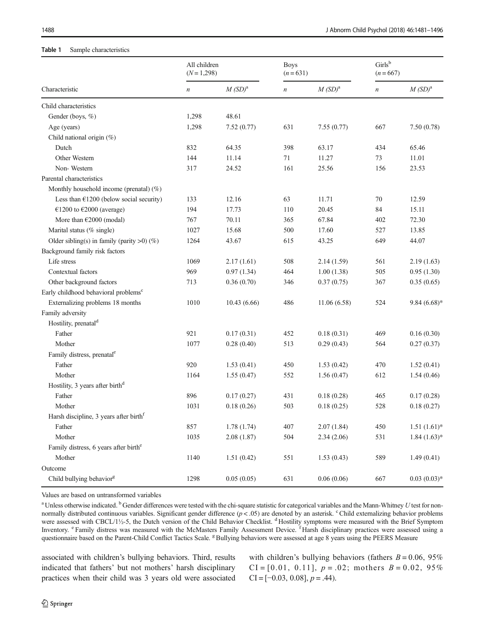#### <span id="page-7-0"></span>Table 1 Sample characteristics

|                                                    | All children<br>$(N=1,298)$ |             | <b>Boys</b><br>$(n = 631)$ |             | $\operatorname{Girls}^{\operatorname{b}}$<br>$(n = 667)$ |                |
|----------------------------------------------------|-----------------------------|-------------|----------------------------|-------------|----------------------------------------------------------|----------------|
| Characteristic                                     | $\boldsymbol{n}$            | $M(SD)^a$   | $\boldsymbol{n}$           | $M(SD)^a$   | $\boldsymbol{n}$                                         | $M(SD)^a$      |
| Child characteristics                              |                             |             |                            |             |                                                          |                |
| Gender (boys, %)                                   | 1,298                       | 48.61       |                            |             |                                                          |                |
| Age (years)                                        | 1,298                       | 7.52(0.77)  | 631                        | 7.55(0.77)  | 667                                                      | 7.50(0.78)     |
| Child national origin (%)                          |                             |             |                            |             |                                                          |                |
| Dutch                                              | 832                         | 64.35       | 398                        | 63.17       | 434                                                      | 65.46          |
| Other Western                                      | 144                         | 11.14       | 71                         | 11.27       | 73                                                       | 11.01          |
| Non-Western                                        | 317                         | 24.52       | 161                        | 25.56       | 156                                                      | 23.53          |
| Parental characteristics                           |                             |             |                            |             |                                                          |                |
| Monthly household income (prenatal) $(\%)$         |                             |             |                            |             |                                                          |                |
| Less than $£1200$ (below social security)          | 133                         | 12.16       | 63                         | 11.71       | 70                                                       | 12.59          |
| €1200 to €2000 (average)                           | 194                         | 17.73       | 110                        | 20.45       | 84                                                       | 15.11          |
| More than $\epsilon$ 2000 (modal)                  | 767                         | 70.11       | 365                        | 67.84       | 402                                                      | 72.30          |
| Marital status (% single)                          | 1027                        | 15.68       | 500                        | 17.60       | 527                                                      | 13.85          |
| Older sibling(s) in family (parity $>0$ ) (%)      | 1264                        | 43.67       | 615                        | 43.25       | 649                                                      | 44.07          |
| Background family risk factors                     |                             |             |                            |             |                                                          |                |
| Life stress                                        | 1069                        | 2.17(1.61)  | 508                        | 2.14(1.59)  | 561                                                      | 2.19(1.63)     |
| Contextual factors                                 | 969                         | 0.97(1.34)  | 464                        | 1.00(1.38)  | 505                                                      | 0.95(1.30)     |
| Other background factors                           | 713                         | 0.36(0.70)  | 346                        | 0.37(0.75)  | 367                                                      | 0.35(0.65)     |
| Early childhood behavioral problems <sup>c</sup>   |                             |             |                            |             |                                                          |                |
| Externalizing problems 18 months                   | 1010                        | 10.43(6.66) | 486                        | 11.06(6.58) | 524                                                      | $9.84(6.68)$ * |
| Family adversity                                   |                             |             |                            |             |                                                          |                |
| Hostility, prenatal <sup>d</sup>                   |                             |             |                            |             |                                                          |                |
| Father                                             | 921                         | 0.17(0.31)  | 452                        | 0.18(0.31)  | 469                                                      | 0.16(0.30)     |
| Mother                                             | 1077                        | 0.28(0.40)  | 513                        | 0.29(0.43)  | 564                                                      | 0.27(0.37)     |
| Family distress, prenatal <sup>e</sup>             |                             |             |                            |             |                                                          |                |
| Father                                             | 920                         | 1.53(0.41)  | 450                        | 1.53(0.42)  | 470                                                      | 1.52(0.41)     |
| Mother                                             | 1164                        | 1.55(0.47)  | 552                        | 1.56(0.47)  | 612                                                      | 1.54(0.46)     |
| Hostility, 3 years after birth <sup>d</sup>        |                             |             |                            |             |                                                          |                |
| Father                                             | 896                         | 0.17(0.27)  | 431                        | 0.18(0.28)  | 465                                                      | 0.17(0.28)     |
| Mother                                             | 1031                        | 0.18(0.26)  | 503                        | 0.18(0.25)  | 528                                                      | 0.18(0.27)     |
| Harsh discipline, 3 years after birth <sup>f</sup> |                             |             |                            |             |                                                          |                |
| Father                                             | 857                         | 1.78(1.74)  | 407                        | 2.07(1.84)  | 450                                                      | $1.51(1.61)$ * |
| Mother                                             | 1035                        | 2.08(1.87)  | 504                        | 2.34(2.06)  | 531                                                      | $1.84(1.63)*$  |
| Family distress, 6 years after birth <sup>e</sup>  |                             |             |                            |             |                                                          |                |
| Mother                                             | 1140                        | 1.51(0.42)  | 551                        | 1.53(0.43)  | 589                                                      | 1.49(0.41)     |
| Outcome                                            |                             |             |                            |             |                                                          |                |
| Child bullying behavior <sup>g</sup>               | 1298                        | 0.05(0.05)  | 631                        | 0.06(0.06)  | 667                                                      | $0.03(0.03)*$  |

Values are based on untransformed variables

<sup>a</sup> Unless otherwise indicated. <sup>b</sup> Gender differences were tested with the chi-square statistic for categorical variables and the Mann-Whitney U test for nonnormally distributed continuous variables. Significant gender difference  $(p < .05)$  are denoted by an asterisk. <sup>c</sup> Child externalizing behavior problems were assessed with CBCL/1½-5, the Dutch version of the Child Behavior Checklist. <sup>d</sup> Hostility symptoms were measured with the Brief Symptom Inventory. <sup>e</sup> Family distress was measured with the McMasters Family Assessment Device. <sup>f</sup> Harsh disciplinary practices were assessed using a questionnaire based on the Parent-Child Conflict Tactics Scale. <sup>g</sup> Bullying behaviors were assessed at age 8 years using the PEERS Measure

associated with children's bullying behaviors. Third, results indicated that fathers' but not mothers' harsh disciplinary practices when their child was 3 years old were associated with children's bullying behaviors (fathers  $B = 0.06$ , 95%  $CI = [0.01, 0.11], p = .02;$  mothers  $B = 0.02, 95%$  $CI = [-0.03, 0.08], p = .44$ .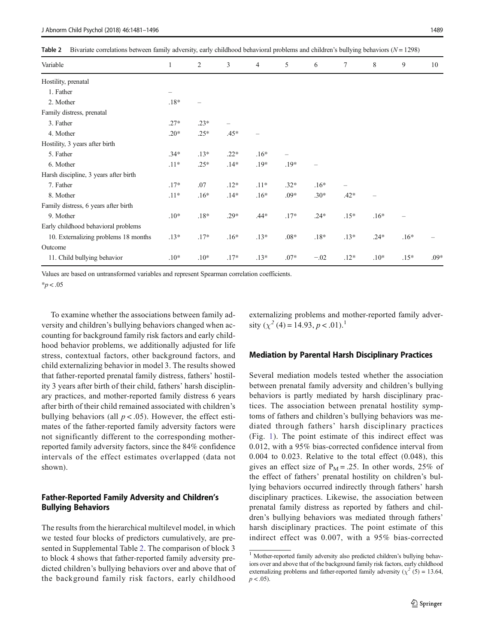<span id="page-8-0"></span>Table 2 Bivariate correlations between family adversity, early childhood behavioral problems and children's bullying behaviors  $(N = 1298)$ 

| Variable                              | 1      | 2      | 3      | $\overline{4}$ | 5      | 6      | 7      | 8      | 9      | 10   |
|---------------------------------------|--------|--------|--------|----------------|--------|--------|--------|--------|--------|------|
| Hostility, prenatal                   |        |        |        |                |        |        |        |        |        |      |
| 1. Father                             |        |        |        |                |        |        |        |        |        |      |
| 2. Mother                             | $.18*$ |        |        |                |        |        |        |        |        |      |
| Family distress, prenatal             |        |        |        |                |        |        |        |        |        |      |
| 3. Father                             | $.27*$ | $.23*$ |        |                |        |        |        |        |        |      |
| 4. Mother                             | $.20*$ | $.25*$ | $.45*$ |                |        |        |        |        |        |      |
| Hostility, 3 years after birth        |        |        |        |                |        |        |        |        |        |      |
| 5. Father                             | $.34*$ | $.13*$ | $.22*$ | $.16*$         |        |        |        |        |        |      |
| 6. Mother                             | $.11*$ | $.25*$ | $.14*$ | $.19*$         | $.19*$ |        |        |        |        |      |
| Harsh discipline, 3 years after birth |        |        |        |                |        |        |        |        |        |      |
| 7. Father                             | $.17*$ | .07    | $.12*$ | $.11*$         | $.32*$ | $.16*$ |        |        |        |      |
| 8. Mother                             | $.11*$ | $.16*$ | $.14*$ | $.16*$         | $.09*$ | $.30*$ | $.42*$ |        |        |      |
| Family distress, 6 years after birth  |        |        |        |                |        |        |        |        |        |      |
| 9. Mother                             | $.10*$ | $.18*$ | $.29*$ | $.44*$         | $.17*$ | $.24*$ | $.15*$ | $.16*$ |        |      |
| Early childhood behavioral problems   |        |        |        |                |        |        |        |        |        |      |
| 10. Externalizing problems 18 months  | $.13*$ | $.17*$ | $.16*$ | $.13*$         | $.08*$ | $.18*$ | $.13*$ | $.24*$ | $.16*$ |      |
| Outcome                               |        |        |        |                |        |        |        |        |        |      |
| 11. Child bullying behavior           | $.10*$ | $.10*$ | $.17*$ | $.13*$         | $.07*$ | $-.02$ | $.12*$ | $.10*$ | $.15*$ | .09* |

Values are based on untransformed variables and represent Spearman correlation coefficients.

 $*p$  < .05

To examine whether the associations between family adversity and children's bullying behaviors changed when accounting for background family risk factors and early childhood behavior problems, we additionally adjusted for life stress, contextual factors, other background factors, and child externalizing behavior in model 3. The results showed that father-reported prenatal family distress, fathers' hostility 3 years after birth of their child, fathers' harsh disciplinary practices, and mother-reported family distress 6 years after birth of their child remained associated with children's bullying behaviors (all  $p < .05$ ). However, the effect estimates of the father-reported family adversity factors were not significantly different to the corresponding motherreported family adversity factors, since the 84% confidence intervals of the effect estimates overlapped (data not shown).

# Father-Reported Family Adversity and Children's Bullying Behaviors

The results from the hierarchical multilevel model, in which we tested four blocks of predictors cumulatively, are presented in Supplemental Table 2. The comparison of block 3 to block 4 shows that father-reported family adversity predicted children's bullying behaviors over and above that of the background family risk factors, early childhood externalizing problems and mother-reported family adversity  $(x^{2} (4) = 14.93, p < .01).$ <sup>1</sup>

#### Mediation by Parental Harsh Disciplinary Practices

Several mediation models tested whether the association between prenatal family adversity and children's bullying behaviors is partly mediated by harsh disciplinary practices. The association between prenatal hostility symptoms of fathers and children's bullying behaviors was mediated through fathers' harsh disciplinary practices (Fig. [1\)](#page-10-0). The point estimate of this indirect effect was 0.012, with a 95% bias-corrected confidence interval from 0.004 to 0.023. Relative to the total effect (0.048), this gives an effect size of  $P_M = .25$ . In other words, 25% of the effect of fathers' prenatal hostility on children's bullying behaviors occurred indirectly through fathers' harsh disciplinary practices. Likewise, the association between prenatal family distress as reported by fathers and children's bullying behaviors was mediated through fathers' harsh disciplinary practices. The point estimate of this indirect effect was 0.007, with a 95% bias-corrected

<sup>&</sup>lt;sup>1</sup> Mother-reported family adversity also predicted children's bullying behaviors over and above that of the background family risk factors, early childhood externalizing problems and father-reported family adversity ( $\chi^2$  (5) = 13.64,  $p < .05$ ).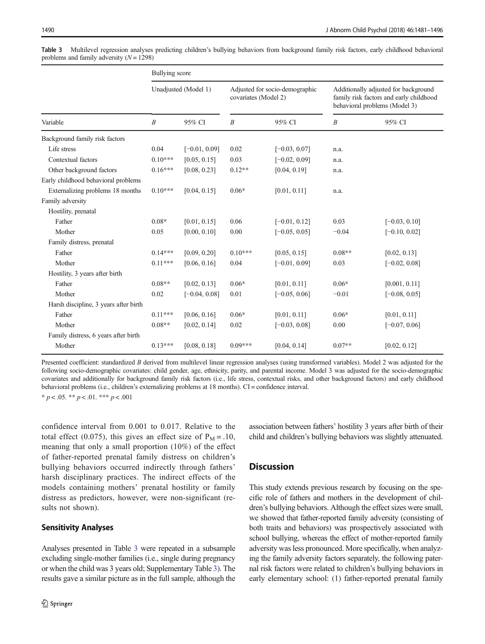|                                       | Bullying score       |                 |                      |                                |                                                                                                                  |                 |  |  |  |
|---------------------------------------|----------------------|-----------------|----------------------|--------------------------------|------------------------------------------------------------------------------------------------------------------|-----------------|--|--|--|
|                                       | Unadjusted (Model 1) |                 | covariates (Model 2) | Adjusted for socio-demographic | Additionally adjusted for background<br>family risk factors and early childhood<br>behavioral problems (Model 3) |                 |  |  |  |
| Variable                              | B<br>95% CI          |                 | B                    | 95% CI                         | B                                                                                                                | 95% CI          |  |  |  |
| Background family risk factors        |                      |                 |                      |                                |                                                                                                                  |                 |  |  |  |
| Life stress                           | 0.04                 | $[-0.01, 0.09]$ | 0.02                 | $[-0.03, 0.07]$                | n.a.                                                                                                             |                 |  |  |  |
| Contextual factors                    | $0.10***$            | [0.05, 0.15]    | 0.03                 | $[-0.02, 0.09]$                | n.a.                                                                                                             |                 |  |  |  |
| Other background factors              | $0.16***$            | [0.08, 0.23]    | $0.12**$             | [0.04, 0.19]                   | n.a.                                                                                                             |                 |  |  |  |
| Early childhood behavioral problems   |                      |                 |                      |                                |                                                                                                                  |                 |  |  |  |
| Externalizing problems 18 months      | $0.10***$            | [0.04, 0.15]    | $0.06*$              | [0.01, 0.11]                   | n.a.                                                                                                             |                 |  |  |  |
| Family adversity                      |                      |                 |                      |                                |                                                                                                                  |                 |  |  |  |
| Hostility, prenatal                   |                      |                 |                      |                                |                                                                                                                  |                 |  |  |  |
| Father                                | $0.08*$              | [0.01, 0.15]    | 0.06                 | $[-0.01, 0.12]$                | 0.03                                                                                                             | $[-0.03, 0.10]$ |  |  |  |
| Mother                                | 0.05                 | [0.00, 0.10]    | 0.00                 | $[-0.05, 0.05]$                | $-0.04$                                                                                                          | $[-0.10, 0.02]$ |  |  |  |
| Family distress, prenatal             |                      |                 |                      |                                |                                                                                                                  |                 |  |  |  |
| Father                                | $0.14***$            | [0.09, 0.20]    | $0.10***$            | [0.05, 0.15]                   | $0.08**$                                                                                                         | [0.02, 0.13]    |  |  |  |
| Mother                                | $0.11***$            | [0.06, 0.16]    | 0.04                 | $[-0.01, 0.09]$                | 0.03                                                                                                             | $[-0.02, 0.08]$ |  |  |  |
| Hostility, 3 years after birth        |                      |                 |                      |                                |                                                                                                                  |                 |  |  |  |
| Father                                | $0.08**$             | [0.02, 0.13]    | $0.06*$              | [0.01, 0.11]                   | $0.06*$                                                                                                          | [0.001, 0.11]   |  |  |  |
| Mother                                | 0.02                 | $[-0.04, 0.08]$ | 0.01                 | $[-0.05, 0.06]$                | $-0.01$                                                                                                          | $[-0.08, 0.05]$ |  |  |  |
| Harsh discipline, 3 years after birth |                      |                 |                      |                                |                                                                                                                  |                 |  |  |  |
| Father                                | $0.11***$            | [0.06, 0.16]    | $0.06*$              | [0.01, 0.11]                   | $0.06*$                                                                                                          | [0.01, 0.11]    |  |  |  |
| Mother                                | $0.08**$             | [0.02, 0.14]    | 0.02                 | $[-0.03, 0.08]$                | 0.00                                                                                                             | $[-0.07, 0.06]$ |  |  |  |
| Family distress, 6 years after birth  |                      |                 |                      |                                |                                                                                                                  |                 |  |  |  |
| Mother                                | $0.13***$            | [0.08, 0.18]    | $0.09***$            | [0.04, 0.14]                   | $0.07**$                                                                                                         | [0.02, 0.12]    |  |  |  |

<span id="page-9-0"></span>Table 3 Multilevel regression analyses predicting children's bullying behaviors from background family risk factors, early childhood behavioral problems and family adversity  $(N = 1298)$ 

Presented coefficient: standardized B derived from multilevel linear regression analyses (using transformed variables). Model 2 was adjusted for the following socio-demographic covariates: child gender, age, ethnicity, parity, and parental income. Model 3 was adjusted for the socio-demographic covariates and additionally for background family risk factors (i.e., life stress, contextual risks, and other background factors) and early childhood behavioral problems (i.e., children's externalizing problems at 18 months). CI = confidence interval.

 $* p < .05$ .  $* p < .01$ .  $* * p < .001$ 

confidence interval from 0.001 to 0.017. Relative to the total effect (0.075), this gives an effect size of  $P_M = .10$ , meaning that only a small proportion (10%) of the effect of father-reported prenatal family distress on children's bullying behaviors occurred indirectly through fathers' harsh disciplinary practices. The indirect effects of the models containing mothers' prenatal hostility or family distress as predictors, however, were non-significant (results not shown).

# Sensitivity Analyses

Analyses presented in Table 3 were repeated in a subsample excluding single-mother families (i.e., single during pregnancy or when the child was 3 years old; Supplementary Table 3). The results gave a similar picture as in the full sample, although the association between fathers' hostility 3 years after birth of their child and children's bullying behaviors was slightly attenuated.

# **Discussion**

This study extends previous research by focusing on the specific role of fathers and mothers in the development of children's bullying behaviors. Although the effect sizes were small, we showed that father-reported family adversity (consisting of both traits and behaviors) was prospectively associated with school bullying, whereas the effect of mother-reported family adversity was less pronounced. More specifically, when analyzing the family adversity factors separately, the following paternal risk factors were related to children's bullying behaviors in early elementary school: (1) father-reported prenatal family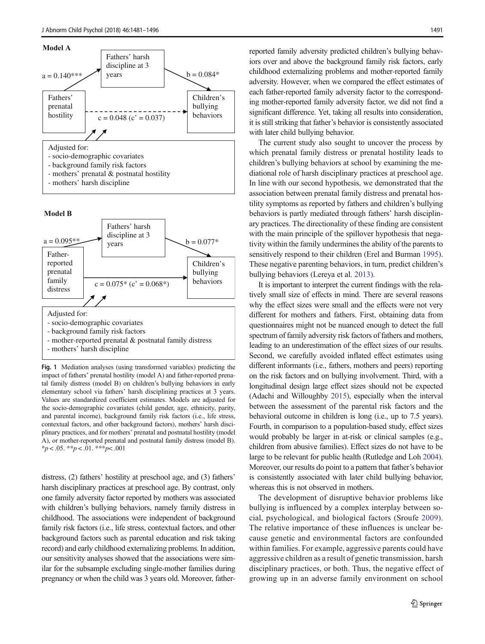<span id="page-10-0"></span>

- background family risk factors
- mothers' prenatal & postnatal hostility
- mothers' harsh discipline

#### **Model B**



Fig. 1 Mediation analyses (using transformed variables) predicting the impact of fathers' prenatal hostility (model A) and father-reported prenatal family distress (model B) on children's bullying behaviors in early elementary school via fathers' harsh disciplining practices at 3 years. Values are standardized coefficient estimates. Models are adjusted for the socio-demographic covariates (child gender, age, ethnicity, parity, and parental income), background family risk factors (i.e., life stress, contextual factors, and other background factors), mothers' harsh disciplinary practices, and for mothers' prenatal and postnatal hostility (model A), or mother-reported prenatal and postnatal family distress (model B).  $*_{p < .05}$ .  $*_{p < .01}$ .  $*_{p < .001}$ 

distress, (2) fathers' hostility at preschool age, and (3) fathers' harsh disciplinary practices at preschool age. By contrast, only one family adversity factor reported by mothers was associated with children's bullying behaviors, namely family distress in childhood. The associations were independent of background family risk factors (i.e., life stress, contextual factors, and other background factors such as parental education and risk taking record) and early childhood externalizing problems. In addition, our sensitivity analyses showed that the associations were similar for the subsample excluding single-mother families during pregnancy or when the child was 3 years old. Moreover, fatherreported family adversity predicted children's bullying behaviors over and above the background family risk factors, early childhood externalizing problems and mother-reported family adversity. However, when we compared the effect estimates of each father-reported family adversity factor to the corresponding mother-reported family adversity factor, we did not find a significant difference. Yet, taking all results into consideration, it is still striking that father's behavior is consistently associated with later child bullying behavior.

The current study also sought to uncover the process by which prenatal family distress or prenatal hostility leads to children's bullying behaviors at school by examining the mediational role of harsh disciplinary practices at preschool age. In line with our second hypothesis, we demonstrated that the association between prenatal family distress and prenatal hostility symptoms as reported by fathers and children's bullying behaviors is partly mediated through fathers' harsh disciplinary practices. The directionality of these finding are consistent with the main principle of the spillover hypothesis that negativity within the family undermines the ability of the parents to sensitively respond to their children (Erel and Burman [1995\)](#page-14-0). These negative parenting behaviors, in turn, predict children's bullying behaviors (Lereya et al. [2013](#page-14-0)).

It is important to interpret the current findings with the relatively small size of effects in mind. There are several reasons why the effect sizes were small and the effects were not very different for mothers and fathers. First, obtaining data from questionnaires might not be nuanced enough to detect the full spectrum of family adversity risk factors of fathers and mothers, leading to an underestimation of the effect sizes of our results. Second, we carefully avoided inflated effect estimates using different informants (i.e., fathers, mothers and peers) reporting on the risk factors and on bullying involvement. Third, with a longitudinal design large effect sizes should not be expected (Adachi and Willoughby [2015\)](#page-13-0), especially when the interval between the assessment of the parental risk factors and the behavioral outcome in children is long (i.e., up to 7.5 years). Fourth, in comparison to a population-based study, effect sizes would probably be larger in at-risk or clinical samples (e.g., children from abusive families). Effect sizes do not have to be large to be relevant for public health (Rutledge and Loh [2004\)](#page-14-0). Moreover, our results do point to a pattern that father's behavior is consistently associated with later child bullying behavior, whereas this is not observed in mothers.

The development of disruptive behavior problems like bullying is influenced by a complex interplay between social, psychological, and biological factors (Sroufe [2009](#page-15-0)). The relative importance of these influences is unclear because genetic and environmental factors are confounded within families. For example, aggressive parents could have aggressive children as a result of genetic transmission, harsh disciplinary practices, or both. Thus, the negative effect of growing up in an adverse family environment on school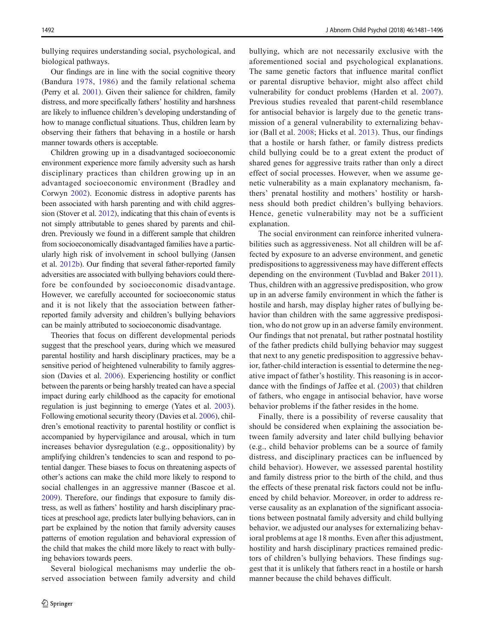bullying requires understanding social, psychological, and biological pathways.

Our findings are in line with the social cognitive theory (Bandura [1978](#page-13-0), [1986\)](#page-13-0) and the family relational schema (Perry et al. [2001\)](#page-14-0). Given their salience for children, family distress, and more specifically fathers' hostility and harshness are likely to influence children's developing understanding of how to manage conflictual situations. Thus, children learn by observing their fathers that behaving in a hostile or harsh manner towards others is acceptable.

Children growing up in a disadvantaged socioeconomic environment experience more family adversity such as harsh disciplinary practices than children growing up in an advantaged socioeconomic environment (Bradley and Corwyn [2002\)](#page-13-0). Economic distress in adoptive parents has been associated with harsh parenting and with child aggression (Stover et al. [2012](#page-15-0)), indicating that this chain of events is not simply attributable to genes shared by parents and children. Previously we found in a different sample that children from socioeconomically disadvantaged families have a particularly high risk of involvement in school bullying (Jansen et al. [2012b\)](#page-14-0). Our finding that several father-reported family adversities are associated with bullying behaviors could therefore be confounded by socioeconomic disadvantage. However, we carefully accounted for socioeconomic status and it is not likely that the association between fatherreported family adversity and children's bullying behaviors can be mainly attributed to socioeconomic disadvantage.

Theories that focus on different developmental periods suggest that the preschool years, during which we measured parental hostility and harsh disciplinary practices, may be a sensitive period of heightened vulnerability to family aggression (Davies et al. [2006\)](#page-13-0). Experiencing hostility or conflict between the parents or being harshly treated can have a special impact during early childhood as the capacity for emotional regulation is just beginning to emerge (Yates et al. [2003](#page-15-0)). Following emotional security theory (Davies et al. [2006](#page-13-0)), children's emotional reactivity to parental hostility or conflict is accompanied by hypervigilance and arousal, which in turn increases behavior dysregulation (e.g., oppositionality) by amplifying children's tendencies to scan and respond to potential danger. These biases to focus on threatening aspects of other's actions can make the child more likely to respond to social challenges in an aggressive manner (Bascoe et al. [2009\)](#page-13-0). Therefore, our findings that exposure to family distress, as well as fathers' hostility and harsh disciplinary practices at preschool age, predicts later bullying behaviors, can in part be explained by the notion that family adversity causes patterns of emotion regulation and behavioral expression of the child that makes the child more likely to react with bullying behaviors towards peers.

Several biological mechanisms may underlie the observed association between family adversity and child bullying, which are not necessarily exclusive with the aforementioned social and psychological explanations. The same genetic factors that influence marital conflict or parental disruptive behavior, might also affect child vulnerability for conduct problems (Harden et al. [2007](#page-14-0)). Previous studies revealed that parent-child resemblance for antisocial behavior is largely due to the genetic transmission of a general vulnerability to externalizing behavior (Ball et al. [2008;](#page-13-0) Hicks et al. [2013\)](#page-14-0). Thus, our findings that a hostile or harsh father, or family distress predicts child bullying could be to a great extent the product of shared genes for aggressive traits rather than only a direct effect of social processes. However, when we assume genetic vulnerability as a main explanatory mechanism, fathers' prenatal hostility and mothers' hostility or harshness should both predict children's bullying behaviors. Hence, genetic vulnerability may not be a sufficient explanation.

The social environment can reinforce inherited vulnerabilities such as aggressiveness. Not all children will be affected by exposure to an adverse environment, and genetic predispositions to aggressiveness may have different effects depending on the environment (Tuvblad and Baker [2011](#page-15-0)). Thus, children with an aggressive predisposition, who grow up in an adverse family environment in which the father is hostile and harsh, may display higher rates of bullying behavior than children with the same aggressive predisposition, who do not grow up in an adverse family environment. Our findings that not prenatal, but rather postnatal hostility of the father predicts child bullying behavior may suggest that next to any genetic predisposition to aggressive behavior, father-child interaction is essential to determine the negative impact of father's hostility. This reasoning is in accordance with the findings of Jaffee et al. ([2003](#page-14-0)) that children of fathers, who engage in antisocial behavior, have worse behavior problems if the father resides in the home.

Finally, there is a possibility of reverse causality that should be considered when explaining the association between family adversity and later child bullying behavior (e.g., child behavior problems can be a source of family distress, and disciplinary practices can be influenced by child behavior). However, we assessed parental hostility and family distress prior to the birth of the child, and thus the effects of these prenatal risk factors could not be influenced by child behavior. Moreover, in order to address reverse causality as an explanation of the significant associations between postnatal family adversity and child bullying behavior, we adjusted our analyses for externalizing behavioral problems at age 18 months. Even after this adjustment, hostility and harsh disciplinary practices remained predictors of children's bullying behaviors. These findings suggest that it is unlikely that fathers react in a hostile or harsh manner because the child behaves difficult.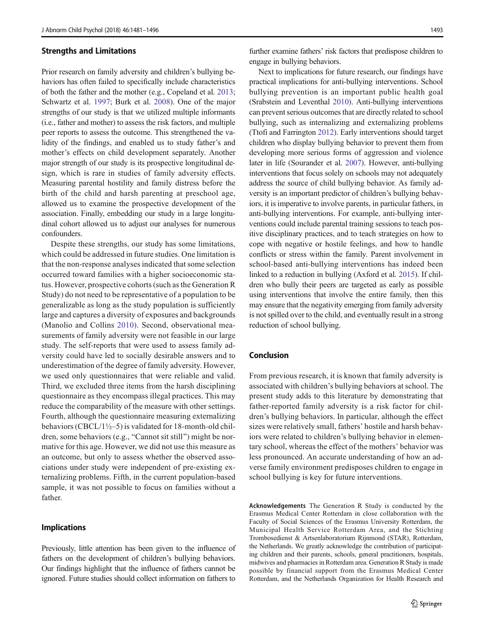#### Strengths and Limitations

Prior research on family adversity and children's bullying behaviors has often failed to specifically include characteristics of both the father and the mother (e.g., Copeland et al. [2013](#page-13-0); Schwartz et al. [1997](#page-15-0); Burk et al. [2008\)](#page-13-0). One of the major strengths of our study is that we utilized multiple informants (i.e., father and mother) to assess the risk factors, and multiple peer reports to assess the outcome. This strengthened the validity of the findings, and enabled us to study father's and mother's effects on child development separately. Another major strength of our study is its prospective longitudinal design, which is rare in studies of family adversity effects. Measuring parental hostility and family distress before the birth of the child and harsh parenting at preschool age, allowed us to examine the prospective development of the association. Finally, embedding our study in a large longitudinal cohort allowed us to adjust our analyses for numerous confounders.

Despite these strengths, our study has some limitations, which could be addressed in future studies. One limitation is that the non-response analyses indicated that some selection occurred toward families with a higher socioeconomic status. However, prospective cohorts (such as the Generation R Study) do not need to be representative of a population to be generalizable as long as the study population is sufficiently large and captures a diversity of exposures and backgrounds (Manolio and Collins [2010\)](#page-14-0). Second, observational measurements of family adversity were not feasible in our large study. The self-reports that were used to assess family adversity could have led to socially desirable answers and to underestimation of the degree of family adversity. However, we used only questionnaires that were reliable and valid. Third, we excluded three items from the harsh disciplining questionnaire as they encompass illegal practices. This may reduce the comparability of the measure with other settings. Fourth, although the questionnaire measuring externalizing behaviors (CBCL/1½–5) is validated for 18-month-old children, some behaviors (e.g., "Cannot sit still") might be normative for this age. However, we did not use this measure as an outcome, but only to assess whether the observed associations under study were independent of pre-existing externalizing problems. Fifth, in the current population-based sample, it was not possible to focus on families without a father.

## Implications

Previously, little attention has been given to the influence of fathers on the development of children's bullying behaviors. Our findings highlight that the influence of fathers cannot be ignored. Future studies should collect information on fathers to

further examine fathers' risk factors that predispose children to engage in bullying behaviors.

Next to implications for future research, our findings have practical implications for anti-bullying interventions. School bullying prevention is an important public health goal (Srabstein and Leventhal [2010](#page-15-0)). Anti-bullying interventions can prevent serious outcomes that are directly related to school bullying, such as internalizing and externalizing problems (Ttofi and Farrington [2012](#page-15-0)). Early interventions should target children who display bullying behavior to prevent them from developing more serious forms of aggression and violence later in life (Sourander et al. [2007\)](#page-15-0). However, anti-bullying interventions that focus solely on schools may not adequately address the source of child bullying behavior. As family adversity is an important predictor of children's bullying behaviors, it is imperative to involve parents, in particular fathers, in anti-bullying interventions. For example, anti-bullying interventions could include parental training sessions to teach positive disciplinary practices, and to teach strategies on how to cope with negative or hostile feelings, and how to handle conflicts or stress within the family. Parent involvement in school-based anti-bullying interventions has indeed been linked to a reduction in bullying (Axford et al. [2015](#page-13-0)). If children who bully their peers are targeted as early as possible using interventions that involve the entire family, then this may ensure that the negativity emerging from family adversity is not spilled over to the child, and eventually result in a strong reduction of school bullying.

## Conclusion

From previous research, it is known that family adversity is associated with children's bullying behaviors at school. The present study adds to this literature by demonstrating that father-reported family adversity is a risk factor for children's bullying behaviors. In particular, although the effect sizes were relatively small, fathers' hostile and harsh behaviors were related to children's bullying behavior in elementary school, whereas the effect of the mothers' behavior was less pronounced. An accurate understanding of how an adverse family environment predisposes children to engage in school bullying is key for future interventions.

Acknowledgements The Generation R Study is conducted by the Erasmus Medical Center Rotterdam in close collaboration with the Faculty of Social Sciences of the Erasmus University Rotterdam, the Municipal Health Service Rotterdam Area, and the Stichting Trombosedienst & Artsenlaboratorium Rijnmond (STAR), Rotterdam, the Netherlands. We greatly acknowledge the contribution of participating children and their parents, schools, general practitioners, hospitals, midwives and pharmacies in Rotterdam area. Generation R Study is made possible by financial support from the Erasmus Medical Center Rotterdam, and the Netherlands Organization for Health Research and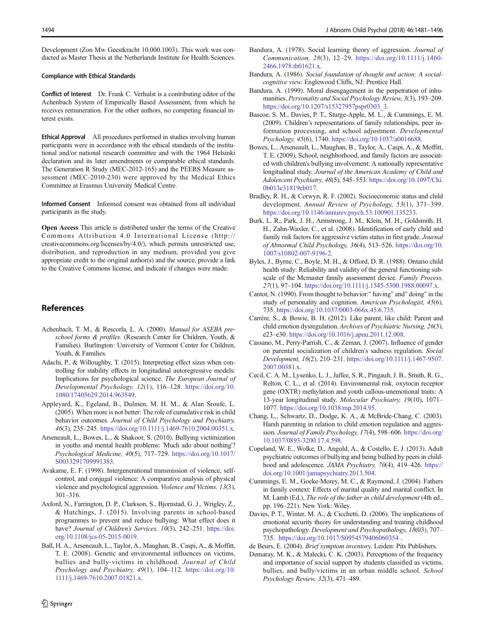#### <span id="page-13-0"></span>Compliance with Ethical Standards

Conflict of Interest Dr. Frank C. Verhulst is a contributing editor of the Achenbach System of Empirically Based Assessment, from which he receives remuneration. For the other authors, no competing financial interest exists.

Ethical Approval All procedures performed in studies involving human participants were in accordance with the ethical standards of the institutional and/or national research committee and with the 1964 Helsinki declaration and its later amendments or comparable ethical standards. The Generation R Study (MEC-2012-165) and the PEERS Measure assessment (MEC-2010-230) were approved by the Medical Ethics Committee at Erasmus University Medical Centre.

Informed Consent Informed consent was obtained from all individual participants in the study.

Open Access This article is distributed under the terms of the Creative Commons Attribution 4.0 International License (http:// creativecommons.org/licenses/by/4.0/), which permits unrestricted use, distribution, and reproduction in any medium, provided you give appropriate credit to the original author(s) and the source, provide a link to the Creative Commons license, and indicate if changes were made.

## References

- Achenbach, T. M., & Rescorla, L. A. (2000). Manual for ASEBA preschool forms & profiles. (Research Center for Children, Youth, & Families). Burlington: University of Vermont Center for Children, Youth, & Families.
- Adachi, P., & Willoughby, T. (2015). Interpreting effect sizes when controlling for stability effects in longitudinal autoregressive models: Implications for psychological science. The European Journal of Developmental Psychology, 12(1), 116–128. [https://doi.org/10.](https://doi.org/10.1080/17405629.2014.963549) [1080/17405629.2014.963549](https://doi.org/10.1080/17405629.2014.963549).
- Appleyard, K., Egeland, B., Dulmen, M. H. M., & Alan Sroufe, L. (2005). When more is not better: The role of cumulative risk in child behavior outcomes. Journal of Child Psychology and Psychiatry, 46(3), 235–245. [https://doi.org/10.1111/j.1469-7610.2004.00351.x.](https://doi.org/10.1111/j.1469-7610.2004.00351.x)
- Arseneault, L., Bowes, L., & Shakoor, S. (2010). Bullying victimization in youths and mental health problems: 'Much ado about nothing'? Psychological Medicine, 40(5), 717–729. [https://doi.org/10.1017/](https://doi.org/10.1017/S0033291709991383) [S0033291709991383.](https://doi.org/10.1017/S0033291709991383)
- Avakame, E. F. (1998). Intergenerational transmission of violence, selfcontrol, and conjugal violence: A comparative analysis of physical violence and psychological aggression. Violence and Victims, 13(3), 301–316.
- Axford, N., Farrington, D. P., Clarkson, S., Bjornstad, G. J., Wrigley, Z., & Hutchings, J. (2015). Involving parents in school-based programmes to prevent and reduce bullying: What effect does it have? Journal of Children's Services, 10(3), 242–251. [https://doi.](https://doi.org/10.1108/jcs-05-2015-0019) [org/10.1108/jcs-05-2015-0019](https://doi.org/10.1108/jcs-05-2015-0019).
- Ball, H. A., Arseneault, L., Taylor, A., Maughan, B., Caspi, A., & Moffitt, T. E. (2008). Genetic and environmental influences on victims, bullies and bully-victims in childhood. Journal of Child Psychology and Psychiatry, 49(1), 104–112. [https://doi.org/10.](https://doi.org/10.1111/j.1469-7610.2007.01821.x) [1111/j.1469-7610.2007.01821.x](https://doi.org/10.1111/j.1469-7610.2007.01821.x).
- Bandura, A. (1978). Social learning theory of aggression. Journal of Communication, 28(3), 12–29. [https://doi.org/10.1111/j.1460-](https://doi.org/10.1111/j.1460-2466.1978.tb01621.x) [2466.1978.tb01621.x](https://doi.org/10.1111/j.1460-2466.1978.tb01621.x).
- Bandura, A. (1986). Social foundation of thought and action: A socialcognitive view. Englewood Cliffs, NJ: Prentice Hall.
- Bandura, A. (1999). Moral disengagement in the perpetration of inhumanities. Personality and Social Psychology Review, 3(3), 193–209. [https://doi.org/10.1207/s15327957pspr0303\\_3](https://doi.org/10.1207/s15327957pspr0303_3).
- Bascoe, S. M., Davies, P. T., Sturge-Apple, M. L., & Cummings, E. M. (2009). Children's representations of family relationships, peer information processing, and school adjustment. Developmental Psychology, 45(6), 1740. [https://doi.org/10.1037/a0016688.](https://doi.org/10.1037/a0016688)
- Bowes, L., Arseneault, L., Maughan, B., Taylor, A., Caspi, A., & Moffitt, T. E. (2009). School, neighborhood, and family factors are associated with children's bullying involvement: A nationally representative longitudinal study. Journal of the American Academy of Child and Adolescent Psychiatry, 48(5), 545–553. [https://doi.org/10.1097/Chi.](https://doi.org/10.1097/Chi.0b013e31819cb017) [0b013e31819cb017](https://doi.org/10.1097/Chi.0b013e31819cb017).
- Bradley, R. H., & Corwyn, R. F. (2002). Socioeconomic status and child development. Annual Review of Psychology, 53(1), 371–399. [https://doi.org/10.1146/annurev.psych.53.100901.135233.](https://doi.org/10.1146/annurev.psych.53.100901.135233)
- Burk, L. R., Park, J. H., Armstrong, J. M., Klein, M. H., Goldsmith, H. H., Zahn-Waxler, C., et al. (2008). Identification of early child and family risk factors for aggressive victim status in first grade. Journal of Abnormal Child Psychology, 36(4), 513–526. [https://doi.org/10.](https://doi.org/10.1007/s10802-007-9196-2) [1007/s10802-007-9196-2.](https://doi.org/10.1007/s10802-007-9196-2)
- Byles, J., Byrne, C., Boyle, M. H., & Offord, D. R. (1988). Ontario child health study: Reliability and validity of the general functioning subscale of the Mcmaster family assessment device. Family Process, 27(1), 97–104. [https://doi.org/10.1111/j.1545-5300.1988.00097.x.](https://doi.org/10.1111/j.1545-5300.1988.00097.x)
- Cantor, N. (1990). From thought to behavior:" having" and" doing" in the study of personality and cognition. American Psychologist, 45(6), 735. <https://doi.org/10.1037/0003-066x.45.6.735>.
- Carrère, S., & Bowie, B. H. (2012). Like parent, like child: Parent and child emotion dysregulation. Archives of Psychiatric Nursing, 26(3), e23–e30. <https://doi.org/10.1016/j.apnu.2011.12.008>.
- Cassano, M., Perry-Parrish, C., & Zeman, J. (2007). Influence of gender on parental socialization of children's sadness regulation. Social Development, 16(2), 210–231. [https://doi.org/10.1111/j.1467-9507.](https://doi.org/10.1111/j.1467-9507.2007.00381.x) [2007.00381.x](https://doi.org/10.1111/j.1467-9507.2007.00381.x).
- Cecil, C. A. M., Lysenko, L. J., Jaffee, S. R., Pingault, J. B., Smith, R. G., Relton, C. L., et al. (2014). Environmental risk, oxytocin receptor gene (OXTR) methylation and youth callous-unemotional traits: A 13-year longitudinal study. Molecular Psychiatry, 19(10), 1071– 1077. <https://doi.org/10.1038/mp.2014.95>.
- Chang, L., Schwartz, D., Dodge, K. A., & McBride-Chang, C. (2003). Harsh parenting in relation to child emotion regulation and aggression. Journal of Family Psychology, 17(4), 598–606. [https://doi.org/](https://doi.org/10.1037/0893-3200.17.4.598) [10.1037/0893-3200.17.4.598.](https://doi.org/10.1037/0893-3200.17.4.598)
- Copeland, W. E., Wolke, D., Angold, A., & Costello, E. J. (2013). Adult psychiatric outcomes of bullying and being bullied by peers in childhood and adolescence. JAMA Psychiatry, 70(4), 419-426. [https://](https://doi.org/10.1001/jamapsychiatry.2013.504) [doi.org/10.1001/jamapsychiatry.2013.504.](https://doi.org/10.1001/jamapsychiatry.2013.504)
- Cummings, E. M., Goeke-Morey, M. C., & Raymond, J. (2004). Fathers in family context: Effects of marital quality and marital conflict. In M. Lamb (Ed.), The role of the father in child development (4th ed., pp. 196–221). New York: Wiley.
- Davies, P. T., Winter, M. A., & Cicchetti, D. (2006). The implications of emotional security theory for understanding and treating childhood psychopathology. Development and Psychopathology, 18(03), 707– 735. <https://doi.org/10.1017/S0954579406060354> .
- de Beurs, E. (2004). Brief symptom inventory. Leiden: Pits Publishers.
- Demaray, M. K., & Malecki, C. K. (2003). Perceptions of the frequency and importance of social support by students classified as victims, bullies, and bully/victims in an urban middle school. School Psychology Review, 32(3), 471–489.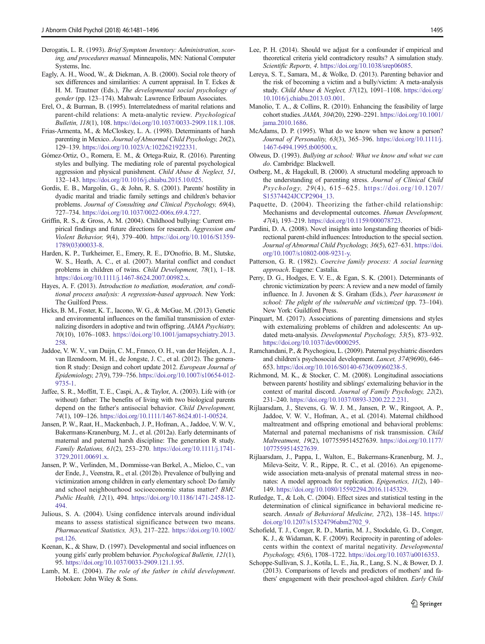- <span id="page-14-0"></span>Derogatis, L. R. (1993). Brief Symptom Inventory: Administration, scoring, and procedures manual. Minneapolis, MN: National Computer Systems, Inc.
- Eagly, A. H., Wood, W., & Diekman, A. B. (2000). Social role theory of sex differences and similarities: A current appraisal. In T. Eckes & H. M. Trautner (Eds.), The developmental social psychology of gender (pp. 123–174). Mahwah: Lawrence Erlbaum Associates.
- Erel, O., & Burman, B. (1995). Interrelatedness of marital relations and parent-child relations: A meta-analytic review. Psychological Bulletin, 118(1), 108. <https://doi.org/10.1037/0033-2909.118.1.108>.
- Frias-Armenta, M., & McCloskey, L. A. (1998). Determinants of harsh parenting in Mexico. Journal of Abnormal Child Psychology, 26(2), 129–139. <https://doi.org/10.1023/A:1022621922331>.
- Gómez-Ortiz, O., Romera, E. M., & Ortega-Ruiz, R. (2016). Parenting styles and bullying. The mediating role of parental psychological aggression and physical punishment. Child Abuse & Neglect, 51, 132–143. <https://doi.org/10.1016/j.chiabu.2015.10.025>.
- Gordis, E. B., Margolin, G., & John, R. S. (2001). Parents' hostility in dyadic marital and triadic family settings and children's behavior problems. Journal of Consulting and Clinical Psychology, 69(4), 727–734. [https://doi.org/10.1037/0022-006x.69.4.727.](https://doi.org/10.1037/0022-006x.69.4.727)
- Griffin, R. S., & Gross, A. M. (2004). Childhood bullying: Current empirical findings and future directions for research. Aggression and Violent Behavior, 9(4), 379–400. [https://doi.org/10.1016/S1359-](https://doi.org/10.1016/S1359-1789(03)00033-8) [1789\(03\)00033-8.](https://doi.org/10.1016/S1359-1789(03)00033-8)
- Harden, K. P., Turkheimer, E., Emery, R. E., D'Onofrio, B. M., Slutske, W. S., Heath, A. C., et al. (2007). Marital conflict and conduct problems in children of twins. Child Development, 78(1), 1–18. <https://doi.org/10.1111/j.1467-8624.2007.00982.x>.
- Hayes, A. F. (2013). Introduction to mediation, moderation, and conditional process analysis: A regression-based approach. New York: The Guilford Press.
- Hicks, B. M., Foster, K. T., Iacono, W. G., & McGue, M. (2013). Genetic and environmental influences on the familial transmission of externalizing disorders in adoptive and twin offspring. JAMA Psychiatry, 70(10), 1076–1083. [https://doi.org/10.1001/jamapsychiatry.2013.](https://doi.org/10.1001/jamapsychiatry.2013.258) [258](https://doi.org/10.1001/jamapsychiatry.2013.258).
- Jaddoe, V. W. V., van Duijn, C. M., Franco, O. H., van der Heijden, A. J., van IIzendoorn, M. H., de Jongste, J. C., et al. (2012). The generation R study: Design and cohort update 2012. European Journal of Epidemiology, 27(9), 739–756. [https://doi.org/10.1007/s10654-012-](https://doi.org/10.1007/s10654-012-9735-1) [9735-1](https://doi.org/10.1007/s10654-012-9735-1).
- Jaffee, S. R., Moffitt, T. E., Caspi, A., & Taylor, A. (2003). Life with (or without) father: The benefits of living with two biological parents depend on the father's antisocial behavior. Child Development, 74(1), 109–126. [https://doi.org/10.1111/1467-8624.t01-1-00524.](https://doi.org/10.1111/1467-8624.t01-1-00524)
- Jansen, P. W., Raat, H., Mackenbach, J. P., Hofman, A., Jaddoe, V. W. V., Bakermans-Kranenburg, M. J., et al. (2012a). Early determinants of maternal and paternal harsh discipline: The generation R study. Family Relations, 61(2), 253–270. [https://doi.org/10.1111/j.1741-](https://doi.org/10.1111/j.1741-3729.2011.00691.x) [3729.2011.00691.x.](https://doi.org/10.1111/j.1741-3729.2011.00691.x)
- Jansen, P. W., Verlinden, M., Dommisse-van Berkel, A., Mieloo, C., van der Ende, J., Veenstra, R., et al. (2012b). Prevalence of bullying and victimization among children in early elementary school: Do family and school neighbourhood socioeconomic status matter? BMC Public Health, 12(1), 494. [https://doi.org/10.1186/1471-2458-12-](https://doi.org/10.1186/1471-2458-12-494.) [494.](https://doi.org/10.1186/1471-2458-12-494.)
- Julious, S. A. (2004). Using confidence intervals around individual means to assess statistical significance between two means. Pharmaceutical Statistics, 3(3), 217–222. [https://doi.org/10.1002/](https://doi.org/10.1002/pst.126) [pst.126.](https://doi.org/10.1002/pst.126)
- Keenan, K., & Shaw, D. (1997). Developmental and social influences on young girls' early problem behavior. Psychological Bulletin, 121(1), 95. <https://doi.org/10.1037/0033-2909.121.1.95>.
- Lamb, M. E. (2004). The role of the father in child development. Hoboken: John Wiley & Sons.
- Lee, P. H. (2014). Should we adjust for a confounder if empirical and theoretical criteria yield contradictory results? A simulation study. Scientific Reports, 4. [https://doi.org/10.1038/srep06085.](https://doi.org/10.1038/srep06085)
- Lereya, S. T., Samara, M., & Wolke, D. (2013). Parenting behavior and the risk of becoming a victim and a bully/victim: A meta-analysis study. Child Abuse & Neglect, 37(12), 1091-1108. [https://doi.org/](https://doi.org/10.1016/j.chiabu.2013.03.001) [10.1016/j.chiabu.2013.03.001](https://doi.org/10.1016/j.chiabu.2013.03.001).
- Manolio, T. A., & Collins, R. (2010). Enhancing the feasibility of large cohort studies. JAMA, 304(20), 2290–2291. [https://doi.org/10.1001/](https://doi.org/10.1001/jama.2010.1686) [jama.2010.1686](https://doi.org/10.1001/jama.2010.1686).
- McAdams, D. P. (1995). What do we know when we know a person? Journal of Personality, 63(3), 365–396. [https://doi.org/10.1111/j.](https://doi.org/10.1111/j.1467-6494.1995.tb00500.x) [1467-6494.1995.tb00500.x.](https://doi.org/10.1111/j.1467-6494.1995.tb00500.x)
- Olweus, D. (1993). Bullying at school: What we know and what we can do. Cambridge: Blackwell.
- Ostberg, M., & Hagekull, B. (2000). A structural modeling approach to the understanding of parenting stress. Journal of Clinical Child Psychology, 29(4), 615–625. [https://doi.org/10.1207/](https://doi.org/10.1207/S15374424JCCP2904_13) [S15374424JCCP2904\\_13.](https://doi.org/10.1207/S15374424JCCP2904_13)
- Paquette, D. (2004). Theorizing the father-child relationship: Mechanisms and developmental outcomes. Human Development, 47(4), 193–219. <https://doi.org/10.1159/000078723>.
- Pardini, D. A. (2008). Novel insights into longstanding theories of bidirectional parent-child influences: Introduction to the special section. Journal of Abnormal Child Psychology, 36(5), 627–631. [https://doi.](https://doi.org/10.1007/s10802-008-9231-y) [org/10.1007/s10802-008-9231-y.](https://doi.org/10.1007/s10802-008-9231-y)
- Patterson, G. R. (1982). Coercive family process: A social learning approach. Eugene: Castalia.
- Perry, D. G., Hodges, E. V. E., & Egan, S. K. (2001). Determinants of chronic victimization by peers: A review and a new model of family influence. In J. Juvonen & S. Graham (Eds.), Peer harassment in school: The plight of the vulnerable and victimized (pp. 73–104). New York: Guildford Press.
- Pinquart, M. (2017). Associations of parenting dimensions and styles with externalizing problems of children and adolescents: An updated meta-analysis. Developmental Psychology, 53(5), 873–932. [https://doi.org/10.1037/dev0000295.](https://doi.org/10.1037/dev0000295)
- Ramchandani, P., & Psychogiou, L. (2009). Paternal psychiatric disorders and children's psychosocial development. Lancet, 374(9690), 646– 653. [https://doi.org/10.1016/S0140-6736\(09\)60238-5.](https://doi.org/10.1016/S0140-6736(09)60238-5)
- Richmond, M. K., & Stocker, C. M. (2008). Longitudinal associations between parents' hostility and siblings' externalizing behavior in the context of marital discord. Journal of Family Psychology, 22(2), 231–240. [https://doi.org/10.1037/0893-3200.22.2.231.](https://doi.org/10.1037/0893-3200.22.2.231)
- Rijlaarsdam, J., Stevens, G. W. J. M., Jansen, P. W., Ringoot, A. P., Jaddoe, V. W. V., Hofman, A., et al. (2014). Maternal childhood maltreatment and offspring emotional and behavioral problems: Maternal and paternal mechanisms of risk transmission. Child Maltreatment, 19(2), 1077559514527639. [https://doi.org/10.1177/](https://doi.org/10.1177/1077559514527639.) [1077559514527639.](https://doi.org/10.1177/1077559514527639.)
- Rijlaarsdam, J., Pappa, I., Walton, E., Bakermans-Kranenburg, M. J., Mileva-Seitz, V. R., Rippe, R. C., et al. (2016). An epigenomewide association meta-analysis of prenatal maternal stress in neonates: A model approach for replication. Epigenetics, 11(2), 140– 149. <https://doi.org/10.1080/15592294.2016.1145329>.
- Rutledge, T., & Loh, C. (2004). Effect sizes and statistical testing in the determination of clinical significance in behavioral medicine research. Annals of Behavioral Medicine, 27(2), 138–145. [https://](https://doi.org/10.1207/s15324796abm2702_9) [doi.org/10.1207/s15324796abm2702\\_9.](https://doi.org/10.1207/s15324796abm2702_9)
- Schofield, T. J., Conger, R. D., Martin, M. J., Stockdale, G. D., Conger, K. J., & Widaman, K. F. (2009). Reciprocity in parenting of adolescents within the context of marital negativity. Developmental Psychology, 45(6), 1708–1722. [https://doi.org/10.1037/a0016353.](https://doi.org/10.1037/a0016353)
- Schoppe-Sullivan, S. J., Kotila, L. E., Jia, R., Lang, S. N., & Bower, D. J. (2013). Comparisons of levels and predictors of mothers' and fathers' engagement with their preschool-aged children. Early Child